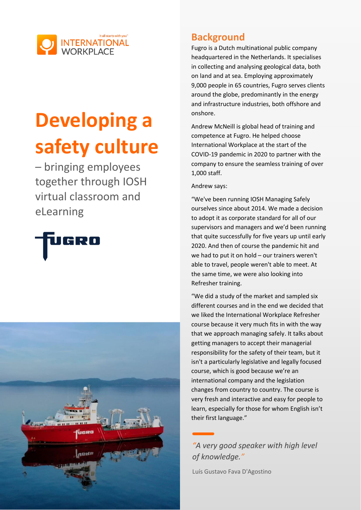

# **Developing a safety culture**

– bringing employees together through IOSH virtual classroom and eLearning





## **Background**

Fugro is a Dutch multinational public company headquartered in the Netherlands. It specialises in collecting and analysing geological data, both on land and at sea. Employing approximately 9,000 people in 65 countries, Fugro serves clients around the globe, predominantly in the energy and infrastructure industries, both offshore and onshore.

Andrew McNeill is global head of training and competence at Fugro. He helped choose International Workplace at the start of the COVID-19 pandemic in 2020 to partner with the company to ensure the seamless training of over 1,000 staff.

#### Andrew says:

"We've been running IOSH Managing Safely ourselves since about 2014. We made a decision to adopt it as corporate standard for all of our supervisors and managers and we'd been running that quite successfully for five years up until early 2020. And then of course the pandemic hit and we had to put it on hold – our trainers weren't able to travel, people weren't able to meet. At the same time, we were also looking into Refresher training.

"We did a study of the market and sampled six different courses and in the end we decided that we liked the International Workplace Refresher course because it very much fits in with the way that we approach managing safely. It talks about getting managers to accept their managerial responsibility for the safety of their team, but it isn't a particularly legislative and legally focused course, which is good because we're an international company and the legislation changes from country to country. The course is very fresh and interactive and easy for people to learn, especially for those for whom English isn't their first language."

*"A very good speaker with high level of knowledge."*

Luís Gustavo Fava D'Agostino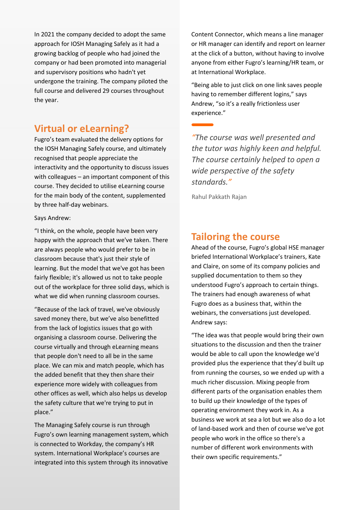In 2021 the company decided to adopt the same approach for IOSH Managing Safely as it had a growing backlog of people who had joined the company or had been promoted into managerial and supervisory positions who hadn't yet undergone the training. The company piloted the full course and delivered 29 courses throughout the year.

### **Virtual or eLearning?**

Fugro's team evaluated the delivery options for the IOSH Managing Safely course, and ultimately recognised that people appreciate the interactivity and the opportunity to discuss issues with colleagues – an important component of this course. They decided to utilise eLearning course for the main body of the content, supplemented by three half-day webinars.

Says Andrew:

"I think, on the whole, people have been very happy with the approach that we've taken. There are always people who would prefer to be in classroom because that's just their style of learning. But the model that we've got has been fairly flexible; it's allowed us not to take people out of the workplace for three solid days, which is what we did when running classroom courses.

"Because of the lack of travel, we've obviously saved money there, but we've also benefitted from the lack of logistics issues that go with organising a classroom course. Delivering the course virtually and through eLearning means that people don't need to all be in the same place. We can mix and match people, which has the added benefit that they then share their experience more widely with colleagues from other offices as well, which also helps us develop the safety culture that we're trying to put in place."

The Managing Safely course is run through Fugro's own learning management system, which is connected to Workday, the company's HR system. International Workplace's courses are integrated into this system through its innovative Content Connector, which means a line manager or HR manager can identify and report on learner at the click of a button, without having to involve anyone from either Fugro's learning/HR team, or at International Workplace.

"Being able to just click on one link saves people having to remember different logins," says Andrew, "so it's a really frictionless user experience."

*"The course was well presented and the tutor was highly keen and helpful. The course certainly helped to open a wide perspective of the safety standards."*

Rahul Pakkath Rajan

### **Tailoring the course**

Ahead of the course, Fugro's global HSE manager briefed International Workplace's trainers, Kate and Claire, on some of its company policies and supplied documentation to them so they understood Fugro's approach to certain things. The trainers had enough awareness of what Fugro does as a business that, within the webinars, the conversations just developed. Andrew says:

"The idea was that people would bring their own situations to the discussion and then the trainer would be able to call upon the knowledge we'd provided plus the experience that they'd built up from running the courses, so we ended up with a much richer discussion. Mixing people from different parts of the organisation enables them to build up their knowledge of the types of operating environment they work in. As a business we work at sea a lot but we also do a lot of land-based work and then of course we've got people who work in the office so there's a number of different work environments with their own specific requirements."